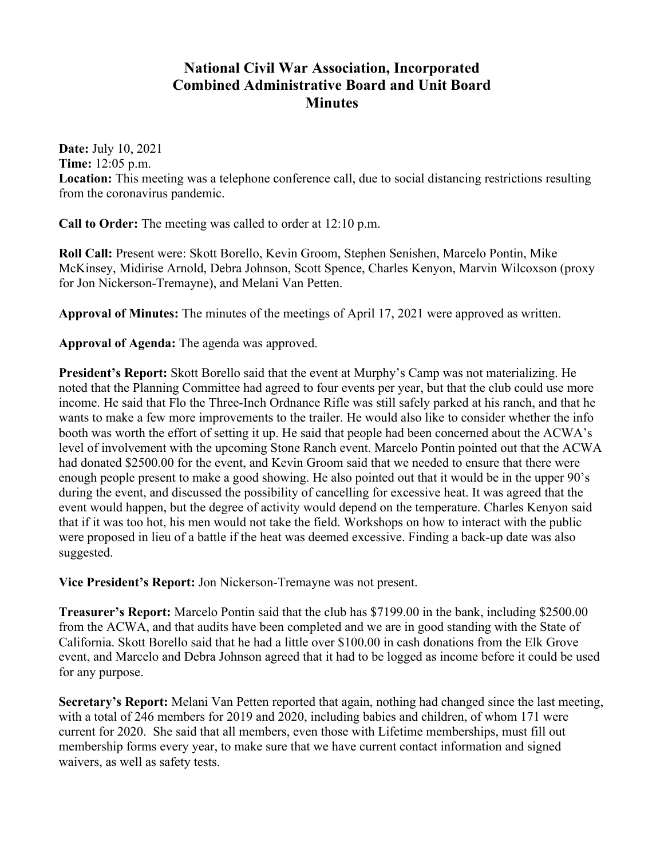## **National Civil War Association, Incorporated Combined Administrative Board and Unit Board Minutes**

**Date:** July 10, 2021 **Time:** 12:05 p.m. **Location:** This meeting was a telephone conference call, due to social distancing restrictions resulting from the coronavirus pandemic.

**Call to Order:** The meeting was called to order at 12:10 p.m.

**Roll Call:** Present were: Skott Borello, Kevin Groom, Stephen Senishen, Marcelo Pontin, Mike McKinsey, Midirise Arnold, Debra Johnson, Scott Spence, Charles Kenyon, Marvin Wilcoxson (proxy for Jon Nickerson-Tremayne), and Melani Van Petten.

**Approval of Minutes:** The minutes of the meetings of April 17, 2021 were approved as written.

**Approval of Agenda:** The agenda was approved.

**President's Report:** Skott Borello said that the event at Murphy's Camp was not materializing. He noted that the Planning Committee had agreed to four events per year, but that the club could use more income. He said that Flo the Three-Inch Ordnance Rifle was still safely parked at his ranch, and that he wants to make a few more improvements to the trailer. He would also like to consider whether the info booth was worth the effort of setting it up. He said that people had been concerned about the ACWA's level of involvement with the upcoming Stone Ranch event. Marcelo Pontin pointed out that the ACWA had donated \$2500.00 for the event, and Kevin Groom said that we needed to ensure that there were enough people present to make a good showing. He also pointed out that it would be in the upper 90's during the event, and discussed the possibility of cancelling for excessive heat. It was agreed that the event would happen, but the degree of activity would depend on the temperature. Charles Kenyon said that if it was too hot, his men would not take the field. Workshops on how to interact with the public were proposed in lieu of a battle if the heat was deemed excessive. Finding a back-up date was also suggested.

**Vice President's Report:** Jon Nickerson-Tremayne was not present.

**Treasurer's Report:** Marcelo Pontin said that the club has \$7199.00 in the bank, including \$2500.00 from the ACWA, and that audits have been completed and we are in good standing with the State of California. Skott Borello said that he had a little over \$100.00 in cash donations from the Elk Grove event, and Marcelo and Debra Johnson agreed that it had to be logged as income before it could be used for any purpose.

**Secretary's Report:** Melani Van Petten reported that again, nothing had changed since the last meeting, with a total of 246 members for 2019 and 2020, including babies and children, of whom 171 were current for 2020. She said that all members, even those with Lifetime memberships, must fill out membership forms every year, to make sure that we have current contact information and signed waivers, as well as safety tests.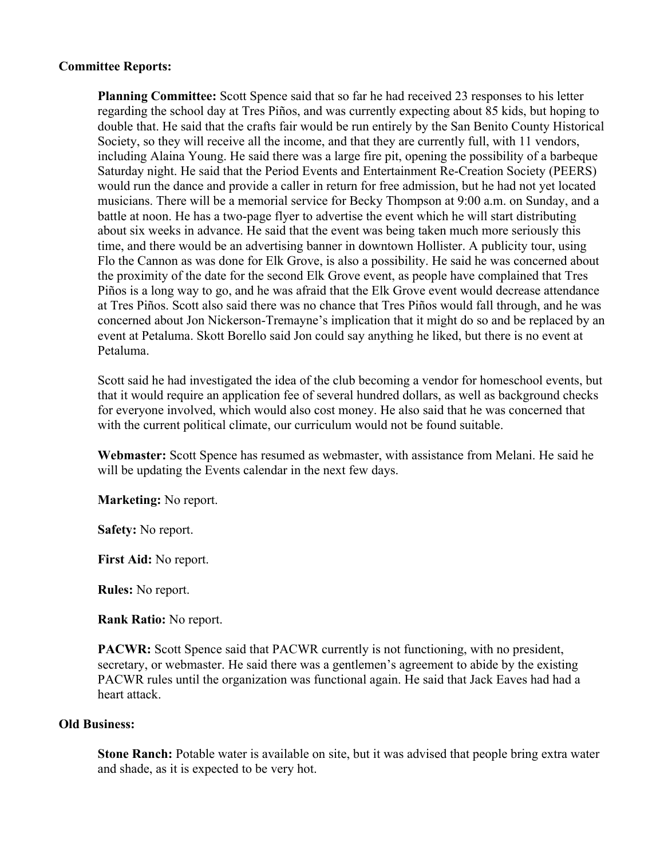## **Committee Reports:**

**Planning Committee:** Scott Spence said that so far he had received 23 responses to his letter regarding the school day at Tres Piños, and was currently expecting about 85 kids, but hoping to double that. He said that the crafts fair would be run entirely by the San Benito County Historical Society, so they will receive all the income, and that they are currently full, with 11 vendors, including Alaina Young. He said there was a large fire pit, opening the possibility of a barbeque Saturday night. He said that the Period Events and Entertainment Re-Creation Society (PEERS) would run the dance and provide a caller in return for free admission, but he had not yet located musicians. There will be a memorial service for Becky Thompson at 9:00 a.m. on Sunday, and a battle at noon. He has a two-page flyer to advertise the event which he will start distributing about six weeks in advance. He said that the event was being taken much more seriously this time, and there would be an advertising banner in downtown Hollister. A publicity tour, using Flo the Cannon as was done for Elk Grove, is also a possibility. He said he was concerned about the proximity of the date for the second Elk Grove event, as people have complained that Tres Piños is a long way to go, and he was afraid that the Elk Grove event would decrease attendance at Tres Piños. Scott also said there was no chance that Tres Piños would fall through, and he was concerned about Jon Nickerson-Tremayne's implication that it might do so and be replaced by an event at Petaluma. Skott Borello said Jon could say anything he liked, but there is no event at Petaluma.

Scott said he had investigated the idea of the club becoming a vendor for homeschool events, but that it would require an application fee of several hundred dollars, as well as background checks for everyone involved, which would also cost money. He also said that he was concerned that with the current political climate, our curriculum would not be found suitable.

**Webmaster:** Scott Spence has resumed as webmaster, with assistance from Melani. He said he will be updating the Events calendar in the next few days.

**Marketing:** No report.

**Safety:** No report.

**First Aid:** No report.

**Rules:** No report.

**Rank Ratio:** No report.

**PACWR:** Scott Spence said that PACWR currently is not functioning, with no president, secretary, or webmaster. He said there was a gentlemen's agreement to abide by the existing PACWR rules until the organization was functional again. He said that Jack Eaves had had a heart attack.

## **Old Business:**

**Stone Ranch:** Potable water is available on site, but it was advised that people bring extra water and shade, as it is expected to be very hot.